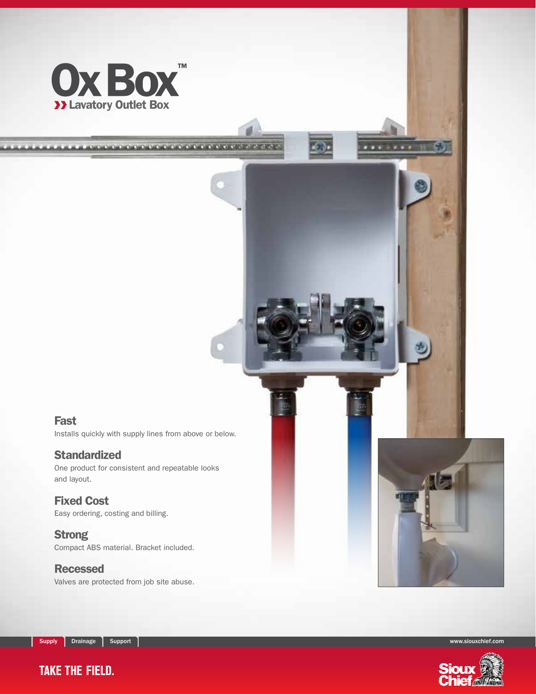

and the transfer to the four services of the following and the state of the following

#### Fast

Installs quickly with supply lines from above or below.

#### **Standardized**

One product for consistent and repeatable looks and layout.

#### Fixed Cost

Easy ordering, costing and billing.

#### **Strong**

Compact ABS material. Bracket included.

#### Recessed

Valves are protected from job site abuse.



Supply Drainage Support Support Support Support Support of the Support of the Support Support of the Support of the Support of the Support of the Support of the Support of the Support of the Support of the Support of the S

# **TAKE THE FIELD.**

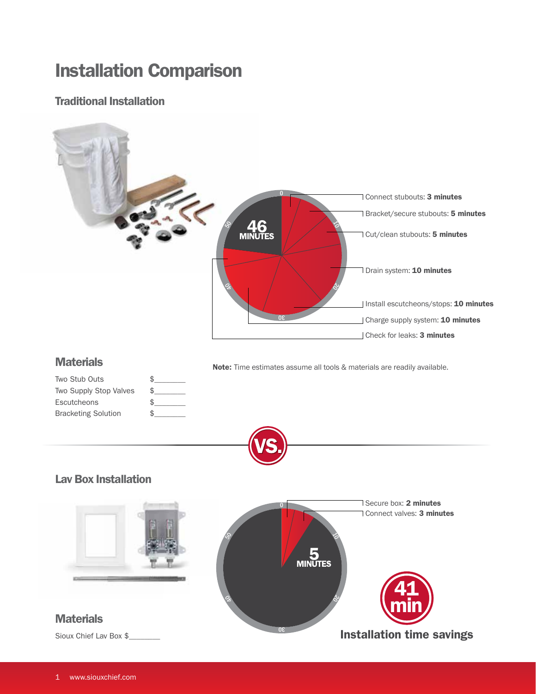# Installation Comparison

#### Traditional Installation

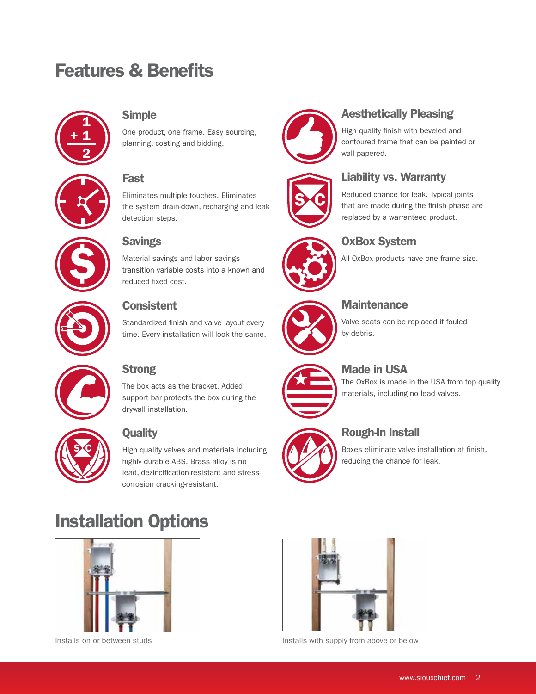# Features & Benefits



#### Simple

One product, one frame. Easy sourcing, planning, costing and bidding.

### Fast

Eliminates multiple touches. Eliminates the system drain-down, recharging and leak detection steps.



## **Savings**

Material savings and labor savings transition variable costs into a known and reduced fixed cost.



### **Consistent**

Standardized finish and valve layout every time. Every installation will look the same.

# **Strong**

The box acts as the bracket. Added support bar protects the box during the drywall installation.



## **Quality**

High quality valves and materials including highly durable ABS. Brass alloy is no lead, dezincification-resistant and stresscorrosion cracking-resistant.

# Installation Options





# Liability vs. Warranty Reduced chance for leak. Typical joints that are made during the finish phase are replaced by a warranteed product.





#### **Maintenance**

OxBox System

Valve seats can be replaced if fouled by debris.

All OxBox products have one frame size.



## Made in USA

The OxBox is made in the USA from top quality materials, including no lead valves.

### Rough-In Install

Boxes eliminate valve installation at finish, reducing the chance for leak.



Installs on or between studs **Installs** with supply from above or below

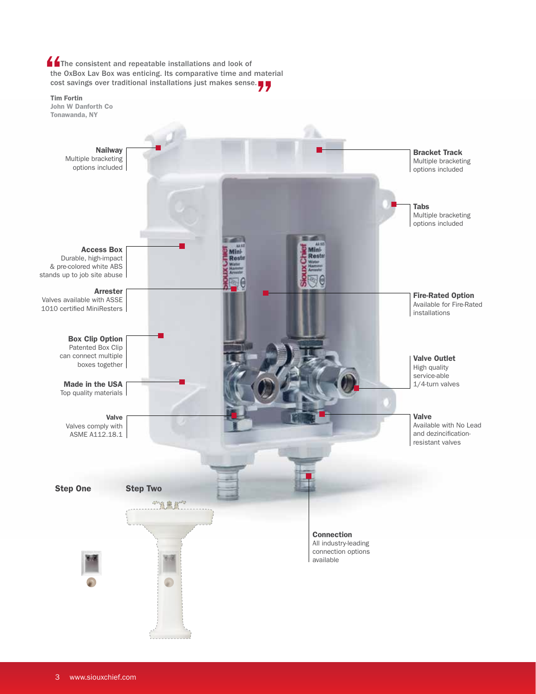**The consistent and repeatable installations and look of** the OxBox Lav Box was enticing. Its comparative time and material cost savings over traditional installations just makes sense.

Tim Fortin John W Danforth Co Tonawanda, NYNailway Bracket Track Multiple bracketing Multiple bracketing options included options included Tabs Multiple bracketing options included Access Box Mini Rest Durable, high-impact Rest & pre-colored white ABS stands up to job site abuse Arrester Fire-Rated Option Valves available with ASSE Available for Fire-Rated 1010 certified MiniResters installations Box Clip Option Patented Box Clip can connect multiple Valve Outlet boxes together High quality service-able Made in the USA 1/4-turn valves Top quality materials Valve Valve Available with No Lead Valves comply with ASME A112.18.1 and dezincificationresistant valves Step One Step Two 究竟探望 Connection All industry-leading connection options available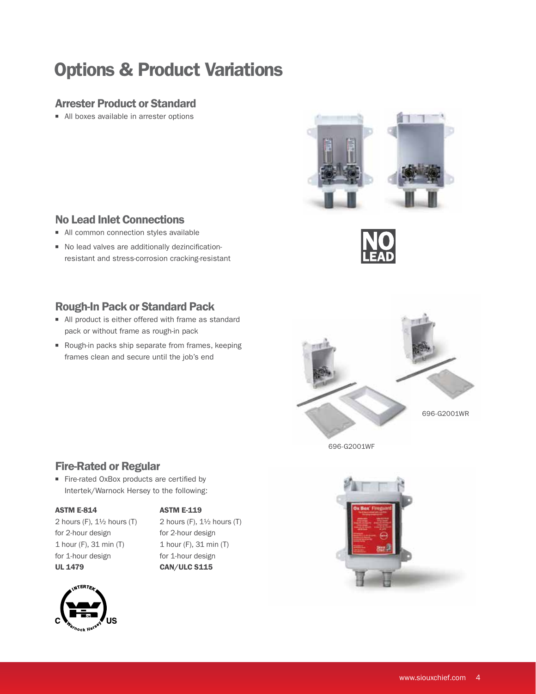# Options & Product Variations

#### Arrester Product or Standard

■ All boxes available in arrester options



#### No Lead Inlet Connections

- All common connection styles available
- $\blacksquare$  No lead valves are additionally dezincificationresistant and stress-corrosion cracking-resistant

### Rough-In Pack or Standard Pack

- All product is either offered with frame as standard pack or without frame as rough-in pack
- Rough-in packs ship separate from frames, keeping frames clean and secure until the job's end



696-G2001WF

### Fire-Rated or Regular

■ Fire-rated OxBox products are certified by Intertek/Warnock Hersey to the following:

#### ASTM E-814

#### **ASTM E-119**

2 hours (F),  $1\frac{1}{2}$  hours (T) for 2-hour design 1 hour (F), 31 min (T) for 1-hour design UL 1479

2 hours (F),  $1\frac{1}{2}$  hours (T) for 2-hour design 1 hour (F), 31 min (T) for 1-hour design CAN/ULC S115



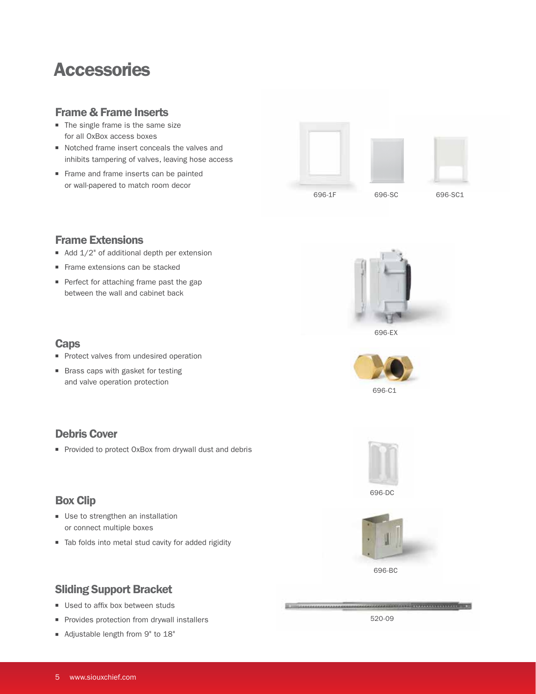# Accessories

#### Frame & Frame Inserts

- $\blacksquare$  The single frame is the same size for all OxBox access boxes
- Notched frame insert conceals the valves and inhibits tampering of valves, leaving hose access
- Frame and frame inserts can be painted or wall-papered to match room decor



#### Frame Extensions

**Caps** 

Debris Cover

Box Clip

- Add  $1/2$ " of additional depth per extension
- Frame extensions can be stacked
- Perfect for attaching frame past the gap between the wall and cabinet back

**n** Protect valves from undesired operation ■ Brass caps with gasket for testing and valve operation protection

■ Provided to protect OxBox from drywall dust and debris



696-EX







**BARRA AND ANNOUNCE** 

### Sliding Support Bracket

■ Use to strengthen an installation or connect multiple boxes

- **u** Used to affix box between studs
- **n** Provides protection from drywall installers

■ Tab folds into metal stud cavity for added rigidity

■ Adjustable length from 9" to 18"

520-09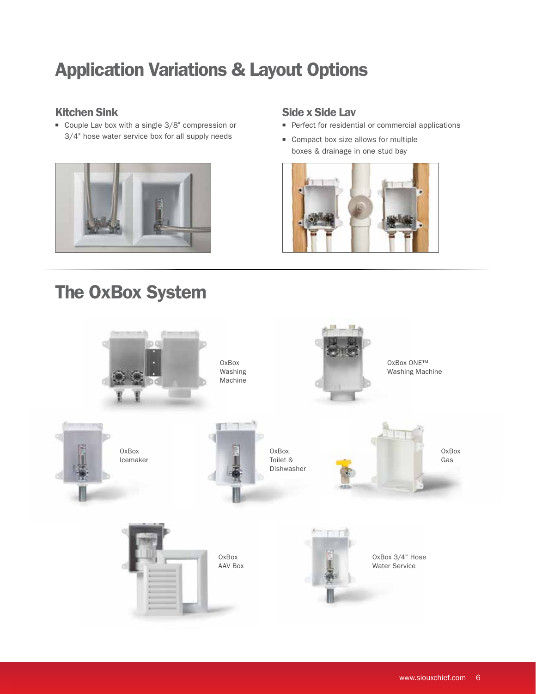# Application Variations & Layout Options

### Kitchen Sink

 $\blacksquare$  Couple Lav box with a single 3/8" compression or 3/4" hose water service box for all supply needs



# The OxBox System

#### Side x Side Lav

- Perfect for residential or commercial applications
- Compact box size allows for multiple boxes & drainage in one stud bay